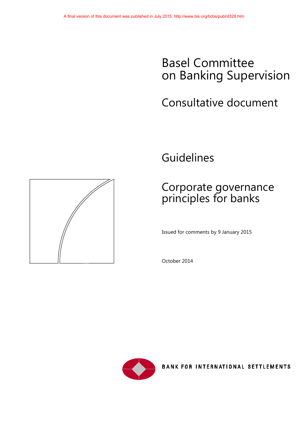# Basel Committee on Banking Supervision

# Consultative document

Guidelines

# Corporate governance principles for banks

Issued for comments by 9 January 2015

October 2014



BANK FOR INTERNATIONAL SETTLEMENTS

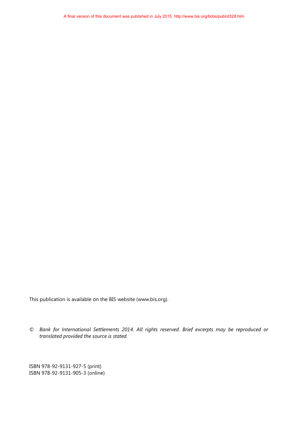This publication is available on the BIS website [\(www.bis.org\)](http://www.bis.org/).

*© Bank for International Settlements 2014. All rights reserved. Brief excerpts may be reproduced or translated provided the source is stated.*

ISBN 978-92-9131-927-5 (print) ISBN 978-92-9131-905-3 (online)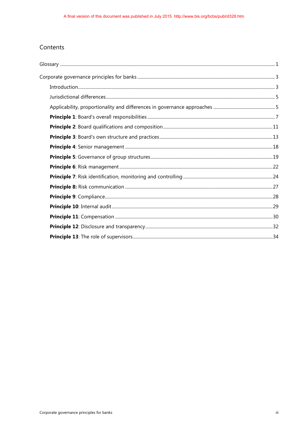### Contents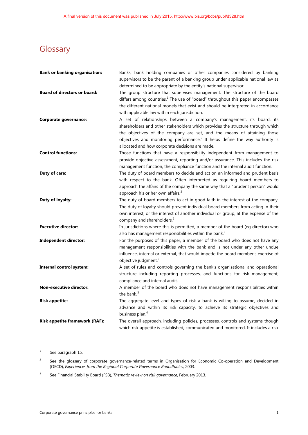## <span id="page-3-0"></span>**Glossary**

| <b>Bank or banking organisation:</b>  | Banks, bank holding companies or other companies considered by banking<br>supervisors to be the parent of a banking group under applicable national law as                                                                                                                                                                                                                        |
|---------------------------------------|-----------------------------------------------------------------------------------------------------------------------------------------------------------------------------------------------------------------------------------------------------------------------------------------------------------------------------------------------------------------------------------|
|                                       | determined to be appropriate by the entity's national supervisor.                                                                                                                                                                                                                                                                                                                 |
| <b>Board of directors or board:</b>   | The group structure that supervises management. The structure of the board<br>differs among countries. $1$ The use of "board" throughout this paper encompasses<br>the different national models that exist and should be interpreted in accordance<br>with applicable law within each jurisdiction.                                                                              |
| <b>Corporate governance:</b>          | A set of relationships between a company's management, its board, its<br>shareholders and other stakeholders which provides the structure through which<br>the objectives of the company are set, and the means of attaining those<br>objectives and monitoring performance. <sup>2</sup> It helps define the way authority is<br>allocated and how corporate decisions are made. |
| <b>Control functions:</b>             | Those functions that have a responsibility independent from management to<br>provide objective assessment, reporting and/or assurance. This includes the risk<br>management function, the compliance function and the internal audit function.                                                                                                                                    |
| Duty of care:                         | The duty of board members to decide and act on an informed and prudent basis<br>with respect to the bank. Often interpreted as requiring board members to<br>approach the affairs of the company the same way that a "prudent person" would<br>approach his or her own affairs. <sup>2</sup>                                                                                      |
| Duty of loyalty:                      | The duty of board members to act in good faith in the interest of the company.<br>The duty of loyalty should prevent individual board members from acting in their<br>own interest, or the interest of another individual or group, at the expense of the<br>company and shareholders. <sup>2</sup>                                                                               |
| <b>Executive director:</b>            | In jurisdictions where this is permitted, a member of the board (eg director) who<br>also has management responsibilities within the bank. <sup>3</sup>                                                                                                                                                                                                                           |
| <b>Independent director:</b>          | For the purposes of this paper, a member of the board who does not have any<br>management responsibilities with the bank and is not under any other undue<br>influence, internal or external, that would impede the board member's exercise of<br>objective judgment. <sup>3</sup>                                                                                                |
| <b>Internal control system:</b>       | A set of rules and controls governing the bank's organisational and operational<br>structure including reporting processes, and functions for risk management,<br>compliance and internal audit.                                                                                                                                                                                  |
| <b>Non-executive director:</b>        | A member of the board who does not have management responsibilities within<br>the bank. <sup>3</sup>                                                                                                                                                                                                                                                                              |
| <b>Risk appetite:</b>                 | The aggregate level and types of risk a bank is willing to assume, decided in<br>advance and within its risk capacity, to achieve its strategic objectives and<br>business plan. <sup>4</sup>                                                                                                                                                                                     |
| <b>Risk appetite framework (RAF):</b> | The overall approach, including policies, processes, controls and systems though<br>which risk appetite is established, communicated and monitored. It includes a risk                                                                                                                                                                                                            |

<span id="page-3-1"></span>1 See paragraph 15.

<span id="page-3-2"></span>2 See the glossary of corporate governance-related terms in Organisation for Economic Co-operation and Development (OECD), *Experiences from the Regional Corporate Governance Roundtables,* 2003.

<span id="page-3-3"></span>3 See Financial Stability Board (FSB), *Thematic review on risk governance*, February 2013.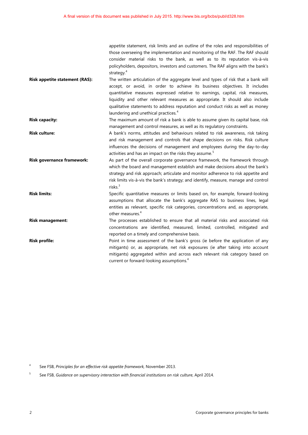|                                       | appetite statement, risk limits and an outline of the roles and responsibilities of  |
|---------------------------------------|--------------------------------------------------------------------------------------|
|                                       | those overseeing the implementation and monitoring of the RAF. The RAF should        |
|                                       | consider material risks to the bank, as well as to its reputation vis-à-vis          |
|                                       | policyholders, depositors, investors and customers. The RAF aligns with the bank's   |
|                                       | strategy. <sup>4</sup>                                                               |
| <b>Risk appetite statement (RAS):</b> | The written articulation of the aggregate level and types of risk that a bank will   |
|                                       | accept, or avoid, in order to achieve its business objectives. It includes           |
|                                       | quantitative measures expressed relative to earnings, capital, risk measures,        |
|                                       | liquidity and other relevant measures as appropriate. It should also include         |
|                                       | qualitative statements to address reputation and conduct risks as well as money      |
|                                       | laundering and unethical practices. <sup>4</sup>                                     |
| <b>Risk capacity:</b>                 | The maximum amount of risk a bank is able to assume given its capital base, risk     |
|                                       | management and control measures, as well as its regulatory constraints.              |
| <b>Risk culture:</b>                  | A bank's norms, attitudes and behaviours related to risk awareness, risk taking      |
|                                       | and risk management and controls that shape decisions on risks. Risk culture         |
|                                       | influences the decisions of management and employees during the day-to-day           |
|                                       | activities and has an impact on the risks they assume. <sup>5</sup>                  |
| <b>Risk governance framework:</b>     | As part of the overall corporate governance framework, the framework through         |
|                                       | which the board and management establish and make decisions about the bank's         |
|                                       | strategy and risk approach; articulate and monitor adherence to risk appetite and    |
|                                       | risk limits vis-à-vis the bank's strategy; and identify, measure, manage and control |
|                                       | risks. $3$                                                                           |
| <b>Risk limits:</b>                   | Specific quantitative measures or limits based on, for example, forward-looking      |
|                                       | assumptions that allocate the bank's aggregate RAS to business lines, legal          |
|                                       | entities as relevant, specific risk categories, concentrations and, as appropriate,  |
|                                       | other measures. <sup>4</sup>                                                         |
| <b>Risk management:</b>               | The processes established to ensure that all material risks and associated risk      |
|                                       | concentrations are identified, measured, limited, controlled, mitigated and          |
|                                       | reported on a timely and comprehensive basis.                                        |
| <b>Risk profile:</b>                  | Point in time assessment of the bank's gross (ie before the application of any       |
|                                       | mitigants) or, as appropriate, net risk exposures (ie after taking into account      |
|                                       | mitigants) aggregated within and across each relevant risk category based on         |
|                                       | current or forward-looking assumptions. <sup>4</sup>                                 |

<span id="page-4-0"></span>4 See FSB, *Principles for an effective risk appetite framework,* November 2013.

<span id="page-4-1"></span>5 See FSB, *Guidance on supervisory interaction with financial institutions on risk culture*, April 2014.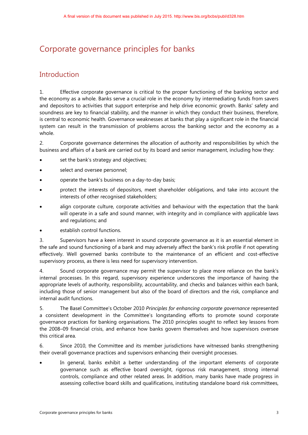## <span id="page-5-0"></span>Corporate governance principles for banks

### <span id="page-5-1"></span>Introduction

1. Effective corporate governance is critical to the proper functioning of the banking sector and the economy as a whole. Banks serve a crucial role in the economy by intermediating funds from savers and depositors to activities that support enterprise and help drive economic growth. Banks' safety and soundness are key to financial stability, and the manner in which they conduct their business, therefore, is central to economic health. Governance weaknesses at banks that play a significant role in the financial system can result in the transmission of problems across the banking sector and the economy as a whole.

2. Corporate governance determines the allocation of authority and responsibilities by which the business and affairs of a bank are carried out by its board and senior management, including how they:

- set the bank's strategy and objectives;
- select and oversee personnel;
- operate the bank's business on a day-to-day basis;
- protect the interests of depositors, meet shareholder obligations, and take into account the interests of other recognised stakeholders;
- align corporate culture, corporate activities and behaviour with the expectation that the bank will operate in a safe and sound manner, with integrity and in compliance with applicable laws and regulations; and
- establish control functions.

3. Supervisors have a keen interest in sound corporate governance as it is an essential element in the safe and sound functioning of a bank and may adversely affect the bank's risk profile if not operating effectively. Well governed banks contribute to the maintenance of an efficient and cost-effective supervisory process, as there is less need for supervisory intervention.

4. Sound corporate governance may permit the supervisor to place more reliance on the bank's internal processes. In this regard, supervisory experience underscores the importance of having the appropriate levels of authority, responsibility, accountability, and checks and balances within each bank, including those of senior management but also of the board of directors and the risk, compliance and internal audit functions.

5. The Basel Committee's October 2010 *Principles for enhancing corporate governance* represented a consistent development in the Committee's longstanding efforts to promote sound corporate governance practices for banking organisations. The 2010 principles sought to reflect key lessons from the 2008–09 financial crisis, and enhance how banks govern themselves and how supervisors oversee this critical area.

6. Since 2010, the Committee and its member jurisdictions have witnessed banks strengthening their overall governance practices and supervisors enhancing their oversight processes.

In general, banks exhibit a better understanding of the important elements of corporate governance such as effective board oversight, rigorous risk management, strong internal controls, compliance and other related areas. In addition, many banks have made progress in assessing collective board skills and qualifications, instituting standalone board risk committees,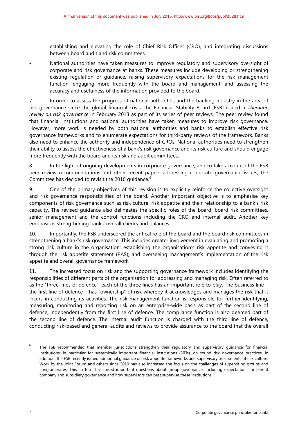establishing and elevating the role of Chief Risk Officer (CRO), and integrating discussions between board audit and risk committees.

• National authorities have taken measures to improve regulatory and supervisory oversight of corporate and risk governance at banks. These measures include developing or strengthening existing regulation or guidance, raising supervisory expectations for the risk management function, engaging more frequently with the board and management, and assessing the accuracy and usefulness of the information provided to the board.

7. In order to assess the progress of national authorities and the banking industry in the area of risk governance since the global financial crisis, the Financial Stability Board (FSB) issued a *Thematic review on risk governance* in February 2013 as part of its series of peer reviews. The peer review found that financial institutions and national authorities have taken measures to improve risk governance. However, more work is needed by both national authorities and banks to establish effective risk governance frameworks and to enumerate expectations for third-party reviews of the framework. Banks also need to enhance the authority and independence of CROs. National authorities need to strengthen their ability to assess the effectiveness of a bank's risk governance and its risk culture and should engage more frequently with the board and its risk and audit committees.

8. In the light of ongoing developments in corporate governance, and to take account of the FSB peer review recommendations and other recent papers addressing corporate governance issues, the Committee has decided to revisit the 2010 quidance.<sup>[6](#page-6-0)</sup>

9. One of the primary objectives of this revision is to explicitly reinforce the collective oversight and risk governance responsibilities of the board. Another important objective is to emphasise key components of risk governance such as risk culture, risk appetite and their relationship to a bank's risk capacity. The revised guidance also delineates the specific roles of the board, board risk committees, senior management and the control functions including the CRO and internal audit. Another key emphasis is strengthening banks' overall checks and balances.

10. Importantly, the FSB underscored the critical role of the board and the board risk committees in strengthening a bank's risk governance. This includes greater involvement in evaluating and promoting a strong risk culture in the organisation; establishing the organisation's risk appetite and conveying it through the risk appetite statement (RAS); and overseeing management's implementation of the risk appetite and overall governance framework.

11. The increased focus on risk and the supporting governance framework includes identifying the responsibilities of different parts of the organisation for addressing and managing risk. Often referred to as the "three lines of defence", each of the three lines has an important role to play. The business line – the first line of defence – has "ownership" of risk whereby it acknowledges and manages the risk that it incurs in conducting its activities. The risk management function is responsible for further identifying, measuring, monitoring and reporting risk on an enterprise-wide basis as part of the second line of defence, independently from the first line of defence. The compliance function is also deemed part of the second line of defence. The internal audit function is charged with the third line of defence, conducting risk-based and general audits and reviews to provide assurance to the board that the overall

<span id="page-6-0"></span> $6$  The FSB recommended that member jurisdictions strengthen their regulatory and supervisory guidance for financial institutions, in particular for systemically important financial institutions (SIFIs), on sound risk governance practices. In addition, the FSB recently issued additional guidance on risk appetite frameworks and supervisory assessments of risk culture. Work by the Joint Forum and others since 2010 has also increased the focus on the challenges of supervising groups and conglomerates. This, in turn, has raised important questions about group governance, including expectations for parent company and subsidiary governance and how supervisors can best supervise these institutions.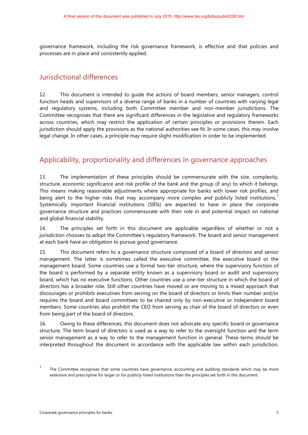governance framework, including the risk governance framework, is effective and that policies and processes are in place and consistently applied.

### <span id="page-7-0"></span>Jurisdictional differences

12. This document is intended to guide the actions of board members, senior managers, control function heads and supervisors of a diverse range of banks in a number of countries with varying legal and regulatory systems, including both Committee member and non-member jurisdictions. The Committee recognises that there are significant differences in the legislative and regulatory frameworks across countries, which may restrict the application of certain principles or provisions therein. Each jurisdiction should apply the provisions as the national authorities see fit. In some cases, this may involve legal change. In other cases, a principle may require slight modification in order to be implemented.

### <span id="page-7-1"></span>Applicability, proportionality and differences in governance approaches

13. The implementation of these principles should be commensurate with the size, complexity, structure, economic significance and risk profile of the bank and the group (if any) to which it belongs. This means making reasonable adjustments where appropriate for banks with lower risk profiles, and being alert to the higher risks that may accompany more complex and publicly listed institutions.<sup>[7](#page-7-2)</sup> Systemically important financial institutions (SIFIs) are expected to have in place the corporate governance structure and practices commensurate with their role in and potential impact on national and global financial stability.

14. The principles set forth in this document are applicable regardless of whether or not a jurisdiction chooses to adopt the Committee's regulatory framework. The board and senior management at each bank have an obligation to pursue good governance.

15. This document refers to a governance structure composed of a board of directors and senior management. The latter is sometimes called the executive committee, the executive board or the management board. Some countries use a formal two-tier structure, where the supervisory function of the board is performed by a separate entity known as a supervisory board or audit and supervisory board, which has no executive functions. Other countries use a one-tier structure in which the board of directors has a broader role. Still other countries have moved or are moving to a mixed approach that discourages or prohibits executives from serving on the board of directors or limits their number and/or requires the board and board committees to be chaired only by non-executive or independent board members. Some countries also prohibit the CEO from serving as chair of the board of directors or even from being part of the board of directors.

16. Owing to these differences, this document does not advocate any specific board or governance structure. The term board of directors is used as a way to refer to the oversight function and the term senior management as a way to refer to the management function in general. These terms should be interpreted throughout the document in accordance with the applicable law within each jurisdiction.

<span id="page-7-2"></span><sup>&</sup>lt;sup>7</sup>The Committee recognises that some countries have governance, accounting and auditing standards which may be more extensive and prescriptive for larger or for publicly-listed institutions than the principles set forth in this document.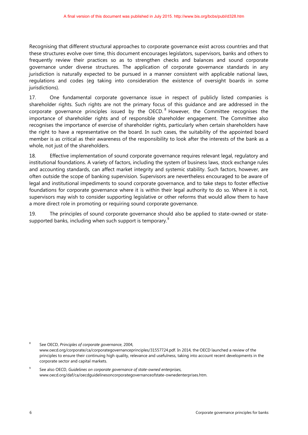Recognising that different structural approaches to corporate governance exist across countries and that these structures evolve over time, this document encourages legislators, supervisors, banks and others to frequently review their practices so as to strengthen checks and balances and sound corporate governance under diverse structures. The application of corporate governance standards in any jurisdiction is naturally expected to be pursued in a manner consistent with applicable national laws, regulations and codes (eg taking into consideration the existence of oversight boards in some jurisdictions).

17. One fundamental corporate governance issue in respect of publicly listed companies is shareholder rights. Such rights are not the primary focus of this guidance and are addressed in the corporate governance principles issued by the OECD.<sup>[8](#page-8-0)</sup> However, the Committee recognises the importance of shareholder rights and of responsible shareholder engagement. The Committee also recognises the importance of exercise of shareholder rights, particularly when certain shareholders have the right to have a representative on the board. In such cases, the suitability of the appointed board member is as critical as their awareness of the responsibility to look after the interests of the bank as a whole, not just of the shareholders.

18. Effective implementation of sound corporate governance requires relevant legal, regulatory and institutional foundations. A variety of factors, including the system of business laws, stock exchange rules and accounting standards, can affect market integrity and systemic stability. Such factors, however, are often outside the scope of banking supervision. Supervisors are nevertheless encouraged to be aware of legal and institutional impediments to sound corporate governance, and to take steps to foster effective foundations for corporate governance where it is within their legal authority to do so. Where it is not, supervisors may wish to consider supporting legislative or other reforms that would allow them to have a more direct role in promoting or requiring sound corporate governance.

19. The principles of sound corporate governance should also be applied to state-owned or state-supported banks, including when such support is temporary.<sup>[9](#page-8-1)</sup>

<span id="page-8-0"></span>8 See OECD, *Principles of corporate governance*, 2004, www.oecd.org/corporate/ca/corporategovernanceprinciples/31557724.pdf. In 2014, the OECD launched a review of the principles to ensure their continuing high quality, relevance and usefulness, taking into account recent developments in the corporate sector and capital markets.

<span id="page-8-1"></span>9 See also OECD, *Guidelines on corporate governance of state-owned enterprises*, www.oecd.org/daf/ca/oecdguidelinesoncorporategovernanceofstate-ownedenterprises.htm.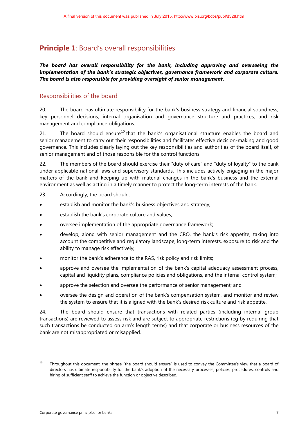### <span id="page-9-0"></span>**Principle 1**: Board's overall responsibilities

*The board has overall responsibility for the bank, including approving and overseeing the implementation of the bank's strategic objectives, governance framework and corporate culture. The board is also responsible for providing oversight of senior management.*

### Responsibilities of the board

20. The board has ultimate responsibility for the bank's business strategy and financial soundness, key personnel decisions, internal organisation and governance structure and practices, and risk management and compliance obligations.

21. The board should ensure<sup>[10](#page-9-1)</sup> that the bank's organisational structure enables the board and senior management to carry out their responsibilities and facilitates effective decision-making and good governance. This includes clearly laying out the key responsibilities and authorities of the board itself, of senior management and of those responsible for the control functions.

22. The members of the board should exercise their "duty of care" and "duty of loyalty" to the bank under applicable national laws and supervisory standards. This includes actively engaging in the major matters of the bank and keeping up with material changes in the bank's business and the external environment as well as acting in a timely manner to protect the long-term interests of the bank.

- 23. Accordingly, the board should:
- establish and monitor the bank's business objectives and strategy;
- establish the bank's corporate culture and values;
- oversee implementation of the appropriate governance framework;
- develop, along with senior management and the CRO, the bank's risk appetite, taking into account the competitive and regulatory landscape, long-term interests, exposure to risk and the ability to manage risk effectively;
- monitor the bank's adherence to the RAS, risk policy and risk limits;
- approve and oversee the implementation of the bank's capital adequacy assessment process, capital and liquidity plans, compliance policies and obligations, and the internal control system;
- approve the selection and oversee the performance of senior management; and
- oversee the design and operation of the bank's compensation system, and monitor and review the system to ensure that it is aligned with the bank's desired risk culture and risk appetite.

24. The board should ensure that transactions with related parties (including internal group transactions) are reviewed to assess risk and are subject to appropriate restrictions (eg by requiring that such transactions be conducted on arm's length terms) and that corporate or business resources of the bank are not misappropriated or misapplied.

<span id="page-9-1"></span> $10$  Throughout this document, the phrase "the board should ensure" is used to convey the Committee's view that a board of directors has ultimate responsibility for the bank's adoption of the necessary processes, policies, procedures, controls and hiring of sufficient staff to achieve the function or objective described.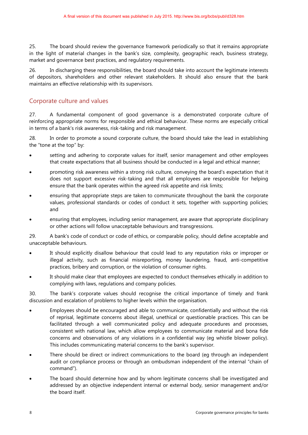25. The board should review the governance framework periodically so that it remains appropriate in the light of material changes in the bank's size, complexity, geographic reach, business strategy, market and governance best practices, and regulatory requirements.

26. In discharging these responsibilities, the board should take into account the legitimate interests of depositors, shareholders and other relevant stakeholders. It should also ensure that the bank maintains an effective relationship with its supervisors.

### Corporate culture and values

27. A fundamental component of good governance is a demonstrated corporate culture of reinforcing appropriate norms for responsible and ethical behaviour. These norms are especially critical in terms of a bank's risk awareness, risk-taking and risk management.

28. In order to promote a sound corporate culture, the board should take the lead in establishing the "tone at the top" by:

- setting and adhering to corporate values for itself, senior management and other employees that create expectations that all business should be conducted in a legal and ethical manner;
- promoting risk awareness within a strong risk culture, conveying the board's expectation that it does not support excessive risk-taking and that all employees are responsible for helping ensure that the bank operates within the agreed risk appetite and risk limits;
- ensuring that appropriate steps are taken to communicate throughout the bank the corporate values, professional standards or codes of conduct it sets, together with supporting policies; and
- ensuring that employees, including senior management, are aware that appropriate disciplinary or other actions will follow unacceptable behaviours and transgressions.

29. A bank's code of conduct or code of ethics, or comparable policy, should define acceptable and unacceptable behaviours.

- It should explicitly disallow behaviour that could lead to any reputation risks or improper or illegal activity, such as financial misreporting, money laundering, fraud, anti-competitive practices, bribery and corruption, or the violation of consumer rights.
- It should make clear that employees are expected to conduct themselves ethically in addition to complying with laws, regulations and company policies.

30. The bank's corporate values should recognise the critical importance of timely and frank discussion and escalation of problems to higher levels within the organisation.

- Employees should be encouraged and able to communicate, confidentially and without the risk of reprisal, legitimate concerns about illegal, unethical or questionable practices. This can be facilitated through a well communicated policy and adequate procedures and processes, consistent with national law, which allow employees to communicate material and bona fide concerns and observations of any violations in a confidential way (eg whistle blower policy). This includes communicating material concerns to the bank's supervisor.
- There should be direct or indirect communications to the board (eq through an independent audit or compliance process or through an ombudsman independent of the internal "chain of command").
- The board should determine how and by whom legitimate concerns shall be investigated and addressed by an objective independent internal or external body, senior management and/or the board itself.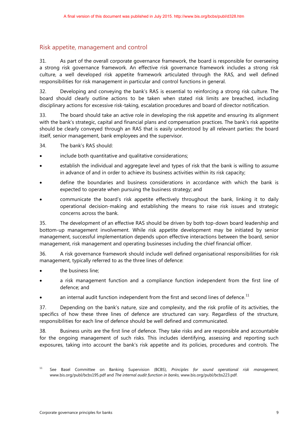### Risk appetite, management and control

31. As part of the overall corporate governance framework, the board is responsible for overseeing a strong risk governance framework. An effective risk governance framework includes a strong risk culture, a well developed risk appetite framework articulated through the RAS, and well defined responsibilities for risk management in particular and control functions in general.

32. Developing and conveying the bank's RAS is essential to reinforcing a strong risk culture. The board should clearly outline actions to be taken when stated risk limits are breached, including disciplinary actions for excessive risk-taking, escalation procedures and board of director notification.

33. The board should take an active role in developing the risk appetite and ensuring its alignment with the bank's strategic, capital and financial plans and compensation practices. The bank's risk appetite should be clearly conveyed through an RAS that is easily understood by all relevant parties: the board itself, senior management, bank employees and the supervisor.

34. The bank's RAS should:

- include both quantitative and qualitative considerations;
- establish the individual and aggregate level and types of risk that the bank is willing to assume in advance of and in order to achieve its business activities within its risk capacity;
- define the boundaries and business considerations in accordance with which the bank is expected to operate when pursuing the business strategy; and
- communicate the board's risk appetite effectively throughout the bank, linking it to daily operational decision-making and establishing the means to raise risk issues and strategic concerns across the bank.

35. The development of an effective RAS should be driven by both top-down board leadership and bottom-up management involvement. While risk appetite development may be initiated by senior management, successful implementation depends upon effective interactions between the board, senior management, risk management and operating businesses including the chief financial officer.

36. A risk governance framework should include well defined organisational responsibilities for risk management, typically referred to as the three lines of defence:

- the business line;
- a risk management function and a compliance function independent from the first line of defence; and
- an internal audit function independent from the first and second lines of defence.<sup>[11](#page-11-0)</sup>

37. Depending on the bank's nature, size and complexity, and the risk profile of its activities, the specifics of how these three lines of defence are structured can vary. Regardless of the structure, responsibilities for each line of defence should be well defined and communicated.

38. Business units are the first line of defence. They take risks and are responsible and accountable for the ongoing management of such risks. This includes identifying, assessing and reporting such exposures, taking into account the bank's risk appetite and its policies, procedures and controls. The

<span id="page-11-0"></span><sup>11</sup> See Basel Committee on Banking Supervision (BCBS), *Principles for sound operational risk management*, www.bis.org/publ/bcbs195.pdf and *The internal audit function in banks*[, www.bis.org/publ/bcbs223.pdf.](http://www.bis.org/publ/bcbs223.pdf)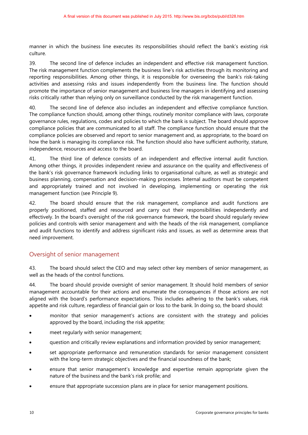manner in which the business line executes its responsibilities should reflect the bank's existing risk culture.

39. The second line of defence includes an independent and effective risk management function. The risk management function complements the business line's risk activities through its monitoring and reporting responsibilities. Among other things, it is responsible for overseeing the bank's risk-taking activities and assessing risks and issues independently from the business line. The function should promote the importance of senior management and business line managers in identifying and assessing risks critically rather than relying only on surveillance conducted by the risk management function.

40. The second line of defence also includes an independent and effective compliance function. The compliance function should, among other things, routinely monitor compliance with laws, corporate governance rules, regulations, codes and policies to which the bank is subject. The board should approve compliance policies that are communicated to all staff. The compliance function should ensure that the compliance policies are observed and report to senior management and, as appropriate, to the board on how the bank is managing its compliance risk. The function should also have sufficient authority, stature, independence, resources and access to the board.

41. The third line of defence consists of an independent and effective internal audit function. Among other things, it provides independent review and assurance on the quality and effectiveness of the bank's risk governance framework including links to organisational culture, as well as strategic and business planning, compensation and decision-making processes. Internal auditors must be competent and appropriately trained and not involved in developing, implementing or operating the risk management function (see Principle 9).

42. The board should ensure that the risk management, compliance and audit functions are properly positioned, staffed and resourced and carry out their responsibilities independently and effectively. In the board's oversight of the risk governance framework, the board should regularly review policies and controls with senior management and with the heads of the risk management, compliance and audit functions to identify and address significant risks and issues, as well as determine areas that need improvement.

### Oversight of senior management

43. The board should select the CEO and may select other key members of senior management, as well as the heads of the control functions.

44. The board should provide oversight of senior management. It should hold members of senior management accountable for their actions and enumerate the consequences if those actions are not aligned with the board's performance expectations. This includes adhering to the bank's values, risk appetite and risk culture, regardless of financial gain or loss to the bank. In doing so, the board should:

- monitor that senior management's actions are consistent with the strategy and policies approved by the board, including the risk appetite;
- meet regularly with senior management;
- question and critically review explanations and information provided by senior management;
- set appropriate performance and remuneration standards for senior management consistent with the long-term strategic objectives and the financial soundness of the bank;
- ensure that senior management's knowledge and expertise remain appropriate given the nature of the business and the bank's risk profile; and
- ensure that appropriate succession plans are in place for senior management positions.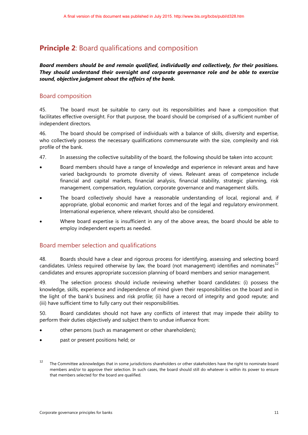### <span id="page-13-0"></span>**Principle 2:** Board qualifications and composition

### *Board members should be and remain qualified, individually and collectively, for their positions. They should understand their oversight and corporate governance role and be able to exercise sound, objective judgment about the affairs of the bank.*

### Board composition

45. The board must be suitable to carry out its responsibilities and have a composition that facilitates effective oversight. For that purpose, the board should be comprised of a sufficient number of independent directors.

46. The board should be comprised of individuals with a balance of skills, diversity and expertise, who collectively possess the necessary qualifications commensurate with the size, complexity and risk profile of the bank.

- 47. In assessing the collective suitability of the board, the following should be taken into account:
- Board members should have a range of knowledge and experience in relevant areas and have varied backgrounds to promote diversity of views. Relevant areas of competence include financial and capital markets, financial analysis, financial stability, strategic planning, risk management, compensation, regulation, corporate governance and management skills.
- The board collectively should have a reasonable understanding of local, regional and, if appropriate, global economic and market forces and of the legal and regulatory environment. International experience, where relevant, should also be considered.
- Where board expertise is insufficient in any of the above areas, the board should be able to employ independent experts as needed.

### Board member selection and qualifications

48. Boards should have a clear and rigorous process for identifying, assessing and selecting board candidates. Unless required otherwise by law, the board (not management) identifies and nominates<sup>[12](#page-13-1)</sup> candidates and ensures appropriate succession planning of board members and senior management.

49. The selection process should include reviewing whether board candidates: (i) possess the knowledge, skills, experience and independence of mind given their responsibilities on the board and in the light of the bank's business and risk profile; (ii) have a record of integrity and good repute; and (iii) have sufficient time to fully carry out their responsibilities.

50. Board candidates should not have any conflicts of interest that may impede their ability to perform their duties objectively and subject them to undue influence from:

- other persons (such as management or other shareholders);
- past or present positions held; or

<span id="page-13-1"></span><sup>&</sup>lt;sup>12</sup> The Committee acknowledges that in some jurisdictions shareholders or other stakeholders have the right to nominate board members and/or to approve their selection. In such cases, the board should still do whatever is within its power to ensure that members selected for the board are qualified.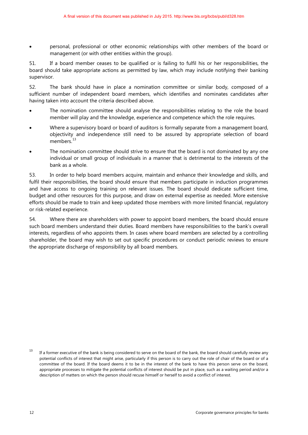• personal, professional or other economic relationships with other members of the board or management (or with other entities within the group).

51. If a board member ceases to be qualified or is failing to fulfil his or her responsibilities, the board should take appropriate actions as permitted by law, which may include notifying their banking supervisor.

52. The bank should have in place a nomination committee or similar body, composed of a sufficient number of independent board members, which identifies and nominates candidates after having taken into account the criteria described above.

- The nomination committee should analyse the responsibilities relating to the role the board member will play and the knowledge, experience and competence which the role requires.
- Where a supervisory board or board of auditors is formally separate from a management board, objectivity and independence still need to be assured by appropriate selection of board members.<sup>[13](#page-14-0)</sup>
- The nomination committee should strive to ensure that the board is not dominated by any one individual or small group of individuals in a manner that is detrimental to the interests of the bank as a whole.

53. In order to help board members acquire, maintain and enhance their knowledge and skills, and fulfil their responsibilities, the board should ensure that members participate in induction programmes and have access to ongoing training on relevant issues. The board should dedicate sufficient time, budget and other resources for this purpose, and draw on external expertise as needed. More extensive efforts should be made to train and keep updated those members with more limited financial, regulatory or risk-related experience.

54. Where there are shareholders with power to appoint board members, the board should ensure such board members understand their duties. Board members have responsibilities to the bank's overall interests, regardless of who appoints them. In cases where board members are selected by a controlling shareholder, the board may wish to set out specific procedures or conduct periodic reviews to ensure the appropriate discharge of responsibility by all board members.

<span id="page-14-0"></span><sup>&</sup>lt;sup>13</sup> If a former executive of the bank is being considered to serve on the board of the bank, the board should carefully review any potential conflicts of interest that might arise, particularly if this person is to carry out the role of chair of the board or of a committee of the board. If the board deems it to be in the interest of the bank to have this person serve on the board, appropriate processes to mitigate the potential conflicts of interest should be put in place, such as a waiting period and/or a description of matters on which the person should recuse himself or herself to avoid a conflict of interest.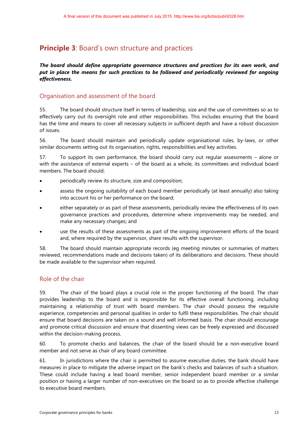### <span id="page-15-0"></span>**Principle 3: Board's own structure and practices**

#### *The board should define appropriate governance structures and practices for its own work, and put in place the means for such practices to be followed and periodically reviewed for ongoing effectiveness.*

### Organisation and assessment of the board

55. The board should structure itself in terms of leadership, size and the use of committees so as to effectively carry out its oversight role and other responsibilities. This includes ensuring that the board has the time and means to cover all necessary subjects in sufficient depth and have a robust discussion of issues.

56. The board should maintain and periodically update organisational rules, by-laws, or other similar documents setting out its organisation, rights, responsibilities and key activities.

57. To support its own performance, the board should carry out regular assessments – alone or with the assistance of external experts – of the board as a whole, its committees and individual board members. The board should:

- periodically review its structure, size and composition;
- assess the ongoing suitability of each board member periodically (at least annually) also taking into account his or her performance on the board;
- either separately or as part of these assessments, periodically review the effectiveness of its own governance practices and procedures, determine where improvements may be needed, and make any necessary changes; and
- use the results of these assessments as part of the ongoing improvement efforts of the board and, where required by the supervisor, share results with the supervisor.

58. The board should maintain appropriate records (eg meeting minutes or summaries of matters reviewed, recommendations made and decisions taken) of its deliberations and decisions. These should be made available to the supervisor when required.

### Role of the chair

59. The chair of the board plays a crucial role in the proper functioning of the board. The chair provides leadership to the board and is responsible for its effective overall functioning, including maintaining a relationship of trust with board members. The chair should possess the requisite experience, competencies and personal qualities in order to fulfil these responsibilities. The chair should ensure that board decisions are taken on a sound and well informed basis. The chair should encourage and promote critical discussion and ensure that dissenting views can be freely expressed and discussed within the decision-making process.

60. To promote checks and balances, the chair of the board should be a non-executive board member and not serve as chair of any board committee.

61. In jurisdictions where the chair is permitted to assume executive duties, the bank should have measures in place to mitigate the adverse impact on the bank's checks and balances of such a situation. These could include having a lead board member, senior independent board member or a similar position or having a larger number of non-executives on the board so as to provide effective challenge to executive board members.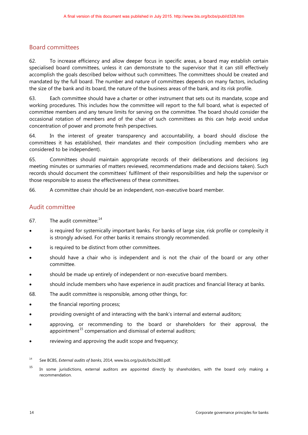### Board committees

62. To increase efficiency and allow deeper focus in specific areas, a board may establish certain specialised board committees, unless it can demonstrate to the supervisor that it can still effectively accomplish the goals described below without such committees. The committees should be created and mandated by the full board. The number and nature of committees depends on many factors, including the size of the bank and its board, the nature of the business areas of the bank, and its risk profile.

63. Each committee should have a charter or other instrument that sets out its mandate, scope and working procedures. This includes how the committee will report to the full board, what is expected of committee members and any tenure limits for serving on the committee. The board should consider the occasional rotation of members and of the chair of such committees as this can help avoid undue concentration of power and promote fresh perspectives.

64. In the interest of greater transparency and accountability, a board should disclose the committees it has established, their mandates and their composition (including members who are considered to be independent).

65. Committees should maintain appropriate records of their deliberations and decisions (eg meeting minutes or summaries of matters reviewed, recommendations made and decisions taken). Such records should document the committees' fulfilment of their responsibilities and help the supervisor or those responsible to assess the effectiveness of these committees.

66. A committee chair should be an independent, non-executive board member.

#### Audit committee

- 67. The audit committee: <sup>[14](#page-16-0)</sup>
- is required for systemically important banks. For banks of large size, risk profile or complexity it is strongly advised. For other banks it remains strongly recommended.
- is required to be distinct from other committees.
- should have a chair who is independent and is not the chair of the board or any other committee.
- should be made up entirely of independent or non-executive board members.
- should include members who have experience in audit practices and financial literacy at banks.
- 68. The audit committee is responsible, among other things, for:
- the financial reporting process;
- providing oversight of and interacting with the bank's internal and external auditors;
- approving, or recommending to the board or shareholders for their approval, the appointment<sup>[15](#page-16-1)</sup> compensation and dismissal of external auditors;
- reviewing and approving the audit scope and frequency;

<span id="page-16-0"></span><sup>14</sup> See BCBS, *External audits of banks*, 2014, [www.bis.org/publ/bcbs280.pdf.](http://www.bis.org/publ/bcbs280.pdf) 

<span id="page-16-1"></span><sup>&</sup>lt;sup>15</sup> In some jurisdictions, external auditors are appointed directly by shareholders, with the board only making a recommendation.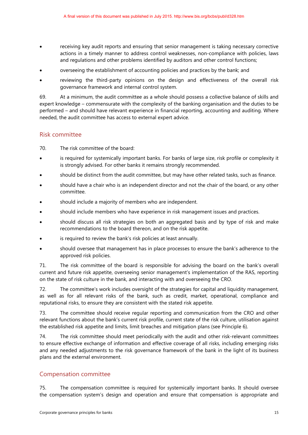- receiving key audit reports and ensuring that senior management is taking necessary corrective actions in a timely manner to address control weaknesses, non-compliance with policies, laws and regulations and other problems identified by auditors and other control functions;
- overseeing the establishment of accounting policies and practices by the bank; and
- reviewing the third-party opinions on the design and effectiveness of the overall risk governance framework and internal control system.

69. At a minimum, the audit committee as a whole should possess a collective balance of skills and expert knowledge – commensurate with the complexity of the banking organisation and the duties to be performed – and should have relevant experience in financial reporting, accounting and auditing. Where needed, the audit committee has access to external expert advice.

### Risk committee

70. The risk committee of the board:

- is required for systemically important banks. For banks of large size, risk profile or complexity it is strongly advised. For other banks it remains strongly recommended.
- should be distinct from the audit committee, but may have other related tasks, such as finance.
- should have a chair who is an independent director and not the chair of the board, or any other committee.
- should include a majority of members who are independent.
- should include members who have experience in risk management issues and practices.
- should discuss all risk strategies on both an aggregated basis and by type of risk and make recommendations to the board thereon, and on the risk appetite.
- is required to review the bank's risk policies at least annually.
- should oversee that management has in place processes to ensure the bank's adherence to the approved risk policies.

71. The risk committee of the board is responsible for advising the board on the bank's overall current and future risk appetite, overseeing senior management's implementation of the RAS, reporting on the state of risk culture in the bank, and interacting with and overseeing the CRO.

72. The committee's work includes oversight of the strategies for capital and liquidity management, as well as for all relevant risks of the bank, such as credit, market, operational, compliance and reputational risks, to ensure they are consistent with the stated risk appetite.

73. The committee should receive regular reporting and communication from the CRO and other relevant functions about the bank's current risk profile, current state of the risk culture, utilisation against the established risk appetite and limits, limit breaches and mitigation plans (see Principle 6).

74. The risk committee should meet periodically with the audit and other risk-relevant committees to ensure effective exchange of information and effective coverage of all risks, including emerging risks and any needed adjustments to the risk governance framework of the bank in the light of its business plans and the external environment.

#### Compensation committee

75. The compensation committee is required for systemically important banks. It should oversee the compensation system's design and operation and ensure that compensation is appropriate and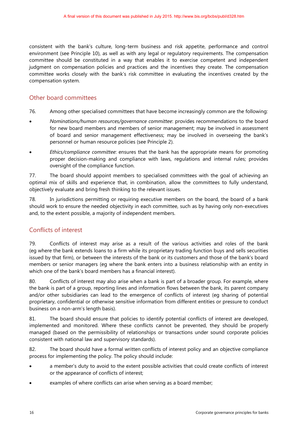consistent with the bank's culture, long-term business and risk appetite, performance and control environment (see Principle 10), as well as with any legal or regulatory requirements. The compensation committee should be constituted in a way that enables it to exercise competent and independent judgment on compensation policies and practices and the incentives they create. The compensation committee works closely with the bank's risk committee in evaluating the incentives created by the compensation system.

### Other board committees

- 76. Among other specialised committees that have become increasingly common are the following:
- *Nominations/human resources/governance committee*: provides recommendations to the board for new board members and members of senior management; may be involved in assessment of board and senior management effectiveness; may be involved in overseeing the bank's personnel or human resource policies (see Principle 2).
- *Ethics/compliance committee*: ensures that the bank has the appropriate means for promoting proper decision-making and compliance with laws, regulations and internal rules; provides oversight of the compliance function.

77. The board should appoint members to specialised committees with the goal of achieving an optimal mix of skills and experience that, in combination, allow the committees to fully understand, objectively evaluate and bring fresh thinking to the relevant issues.

78. In jurisdictions permitting or requiring executive members on the board, the board of a bank should work to ensure the needed objectivity in each committee, such as by having only non-executives and, to the extent possible, a majority of independent members.

### Conflicts of interest

79. Conflicts of interest may arise as a result of the various activities and roles of the bank (eg where the bank extends loans to a firm while its proprietary trading function buys and sells securities issued by that firm), or between the interests of the bank or its customers and those of the bank's board members or senior managers (eg where the bank enters into a business relationship with an entity in which one of the bank's board members has a financial interest).

80. Conflicts of interest may also arise when a bank is part of a broader group. For example, where the bank is part of a group, reporting lines and information flows between the bank, its parent company and/or other subsidiaries can lead to the emergence of conflicts of interest (eg sharing of potential proprietary, confidential or otherwise sensitive information from different entities or pressure to conduct business on a non-arm's length basis).

81. The board should ensure that policies to identify potential conflicts of interest are developed, implemented and monitored. Where these conflicts cannot be prevented, they should be properly managed (based on the permissibility of relationships or transactions under sound corporate policies consistent with national law and supervisory standards).

82. The board should have a formal written conflicts of interest policy and an objective compliance process for implementing the policy. The policy should include:

- a member's duty to avoid to the extent possible activities that could create conflicts of interest or the appearance of conflicts of interest;
- examples of where conflicts can arise when serving as a board member;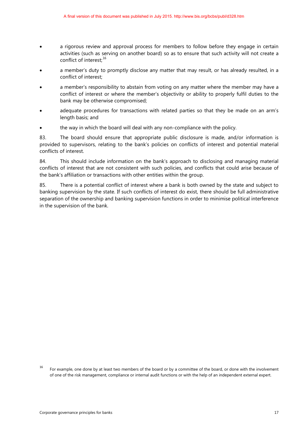- a rigorous review and approval process for members to follow before they engage in certain activities (such as serving on another board) so as to ensure that such activity will not create a conflict of interest;<sup>[16](#page-19-0)</sup>
- a member's duty to promptly disclose any matter that may result, or has already resulted, in a conflict of interest;
- a member's responsibility to abstain from voting on any matter where the member may have a conflict of interest or where the member's objectivity or ability to properly fulfil duties to the bank may be otherwise compromised;
- adequate procedures for transactions with related parties so that they be made on an arm's length basis; and
- the way in which the board will deal with any non-compliance with the policy.

83. The board should ensure that appropriate public disclosure is made, and/or information is provided to supervisors, relating to the bank's policies on conflicts of interest and potential material conflicts of interest.

84. This should include information on the bank's approach to disclosing and managing material conflicts of interest that are not consistent with such policies, and conflicts that could arise because of the bank's affiliation or transactions with other entities within the group.

85. There is a potential conflict of interest where a bank is both owned by the state and subject to banking supervision by the state. If such conflicts of interest do exist, there should be full administrative separation of the ownership and banking supervision functions in order to minimise political interference in the supervision of the bank.

<span id="page-19-0"></span><sup>16</sup> For example, one done by at least two members of the board or by a committee of the board, or done with the involvement of one of the risk management, compliance or internal audit functions or with the help of an independent external expert.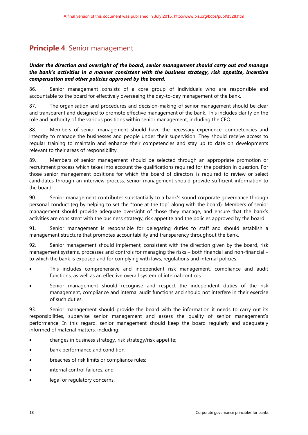### <span id="page-20-0"></span>**Principle 4**: Senior management

#### *Under the direction and oversight of the board, senior management should carry out and manage the bank's activities in a manner consistent with the business strategy, risk appetite, incentive compensation and other policies approved by the board.*

86. Senior management consists of a core group of individuals who are responsible and accountable to the board for effectively overseeing the day-to-day management of the bank.

87. The organisation and procedures and decision-making of senior management should be clear and transparent and designed to promote effective management of the bank. This includes clarity on the role and authority of the various positions within senior management, including the CEO.

88. Members of senior management should have the necessary experience, competencies and integrity to manage the businesses and people under their supervision. They should receive access to regular training to maintain and enhance their competencies and stay up to date on developments relevant to their areas of responsibility.

89. Members of senior management should be selected through an appropriate promotion or recruitment process which takes into account the qualifications required for the position in question. For those senior management positions for which the board of directors is required to review or select candidates through an interview process, senior management should provide sufficient information to the board.

90. Senior management contributes substantially to a bank's sound corporate governance through personal conduct (eg by helping to set the "tone at the top" along with the board). Members of senior management should provide adequate oversight of those they manage, and ensure that the bank's activities are consistent with the business strategy, risk appetite and the policies approved by the board.

91. Senior management is responsible for delegating duties to staff and should establish a management structure that promotes accountability and transparency throughout the bank.

92. Senior management should implement, consistent with the direction given by the board, risk management systems, processes and controls for managing the risks – both financial and non-financial – to which the bank is exposed and for complying with laws, regulations and internal policies.

- This includes comprehensive and independent risk management, compliance and audit functions, as well as an effective overall system of internal controls.
- Senior management should recognise and respect the independent duties of the risk management, compliance and internal audit functions and should not interfere in their exercise of such duties.

93. Senior management should provide the board with the information it needs to carry out its responsibilities, supervise senior management and assess the quality of senior management's performance. In this regard, senior management should keep the board regularly and adequately informed of material matters, including:

- changes in business strategy, risk strategy/risk appetite;
- bank performance and condition;
- breaches of risk limits or compliance rules;
- internal control failures; and
- legal or regulatory concerns.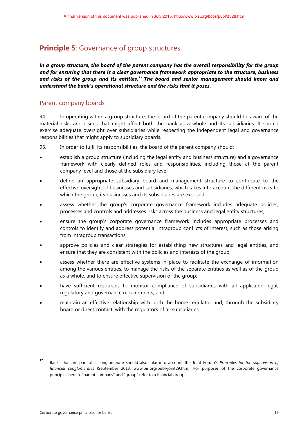### <span id="page-21-0"></span>**Principle 5**: Governance of group structures

*In a group structure, the board of the parent company has the overall responsibility for the group and for ensuring that there is a clear governance framework appropriate to the structure, business and risks of the group and its entities.[17](#page-21-1) The board and senior management should know and understand the bank's operational structure and the risks that it poses.* 

#### Parent company boards

94. In operating within a group structure, the board of the parent company should be aware of the material risks and issues that might affect both the bank as a whole and its subsidiaries. It should exercise adequate oversight over subsidiaries while respecting the independent legal and governance responsibilities that might apply to subsidiary boards.

95. In order to fulfil its responsibilities, the board of the parent company should:

- establish a group structure (including the legal entity and business structure) and a governance framework with clearly defined roles and responsibilities, including those at the parent company level and those at the subsidiary level;
- define an appropriate subsidiary board and management structure to contribute to the effective oversight of businesses and subsidiaries, which takes into account the different risks to which the group, its businesses and its subsidiaries are exposed;
- assess whether the group's corporate governance framework includes adequate policies, processes and controls and addresses risks across the business and legal entity structures;
- ensure the group's corporate governance framework includes appropriate processes and controls to identify and address potential intragroup conflicts of interest, such as those arising from intragroup transactions;
- approve policies and clear strategies for establishing new structures and legal entities, and ensure that they are consistent with the policies and interests of the group;
- assess whether there are effective systems in place to facilitate the exchange of information among the various entities, to manage the risks of the separate entities as well as of the group as a whole, and to ensure effective supervision of the group;
- have sufficient resources to monitor compliance of subsidiaries with all applicable legal, regulatory and governance requirements; and
- maintain an effective relationship with both the home regulator and, through the subsidiary board or direct contact, with the regulators of all subsidiaries.

<span id="page-21-1"></span><sup>17</sup> Banks that are part of a conglomerate should also take into account the Joint Forum's *Principles for the supervision of financial conglomerates* (September 2013, www.bis.org/publ/joint29.htm). For purposes of the corporate governance principles herein, "parent company" and "group" refer to a financial group.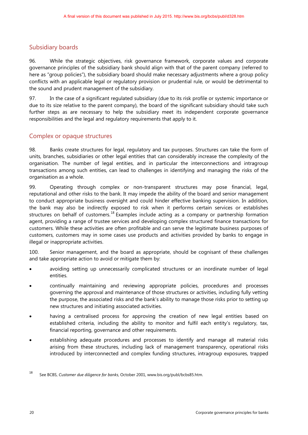### Subsidiary boards

96. While the strategic objectives, risk governance framework, corporate values and corporate governance principles of the subsidiary bank should align with that of the parent company (referred to here as "group policies"), the subsidiary board should make necessary adjustments where a group policy conflicts with an applicable legal or regulatory provision or prudential rule, or would be detrimental to the sound and prudent management of the subsidiary.

97. In the case of a significant regulated subsidiary (due to its risk profile or systemic importance or due to its size relative to the parent company), the board of the significant subsidiary should take such further steps as are necessary to help the subsidiary meet its independent corporate governance responsibilities and the legal and regulatory requirements that apply to it.

### Complex or opaque structures

98. Banks create structures for legal, regulatory and tax purposes. Structures can take the form of units, branches, subsidiaries or other legal entities that can considerably increase the complexity of the organisation. The number of legal entities, and in particular the interconnections and intragroup transactions among such entities, can lead to challenges in identifying and managing the risks of the organisation as a whole.

99. Operating through complex or non-transparent structures may pose financial, legal, reputational and other risks to the bank. It may impede the ability of the board and senior management to conduct appropriate business oversight and could hinder effective banking supervision. In addition, the bank may also be indirectly exposed to risk when it performs certain services or establishes structures on behalf of customers.<sup>[18](#page-22-0)</sup> Examples include acting as a company or partnership formation agent, providing a range of trustee services and developing complex structured finance transactions for customers. While these activities are often profitable and can serve the legitimate business purposes of customers, customers may in some cases use products and activities provided by banks to engage in illegal or inappropriate activities.

100. Senior management, and the board as appropriate, should be cognisant of these challenges and take appropriate action to avoid or mitigate them by:

- avoiding setting up unnecessarily complicated structures or an inordinate number of legal entities.
- continually maintaining and reviewing appropriate policies, procedures and processes governing the approval and maintenance of those structures or activities, including fully vetting the purpose, the associated risks and the bank's ability to manage those risks prior to setting up new structures and initiating associated activities.
- having a centralised process for approving the creation of new legal entities based on established criteria, including the ability to monitor and fulfil each entity's regulatory, tax, financial reporting, governance and other requirements.
- establishing adequate procedures and processes to identify and manage all material risks arising from these structures, including lack of management transparency, operational risks introduced by interconnected and complex funding structures, intragroup exposures, trapped

<span id="page-22-0"></span><sup>18</sup> See BCBS, *Customer due diligence for banks*, October 2001, [www.bis.org/publ/bcbs85.htm.](http://www.bis.org/publ/bcbs85.htm)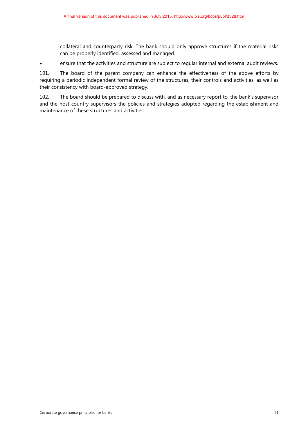collateral and counterparty risk. The bank should only approve structures if the material risks can be properly identified, assessed and managed.

• ensure that the activities and structure are subject to regular internal and external audit reviews.

101. The board of the parent company can enhance the effectiveness of the above efforts by requiring a periodic independent formal review of the structures, their controls and activities, as well as their consistency with board-approved strategy.

102. The board should be prepared to discuss with, and as necessary report to, the bank's supervisor and the host country supervisors the policies and strategies adopted regarding the establishment and maintenance of these structures and activities.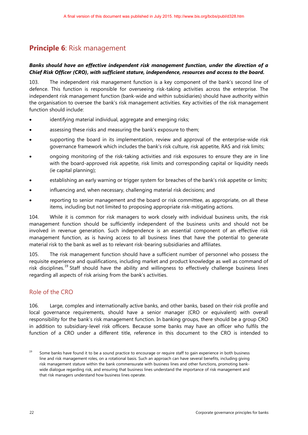### <span id="page-24-0"></span>**Principle 6**: Risk management

#### *Banks should have an effective independent risk management function, under the direction of a Chief Risk Officer (CRO), with sufficient stature, independence, resources and access to the board.*

103. The independent risk management function is a key component of the bank's second line of defence. This function is responsible for overseeing risk-taking activities across the enterprise. The independent risk management function (bank-wide and within subsidiaries) should have authority within the organisation to oversee the bank's risk management activities. Key activities of the risk management function should include:

- identifying material individual, aggregate and emerging risks;
- assessing these risks and measuring the bank's exposure to them;
- supporting the board in its implementation, review and approval of the enterprise-wide risk governance framework which includes the bank's risk culture, risk appetite, RAS and risk limits;
- ongoing monitoring of the risk-taking activities and risk exposures to ensure they are in line with the board-approved risk appetite, risk limits and corresponding capital or liquidity needs (ie capital planning);
- establishing an early warning or trigger system for breaches of the bank's risk appetite or limits;
- influencing and, when necessary, challenging material risk decisions; and
- reporting to senior management and the board or risk committee, as appropriate, on all these items, including but not limited to proposing appropriate risk-mitigating actions.

104. While it is common for risk managers to work closely with individual business units, the risk management function should be sufficiently independent of the business units and should not be involved in revenue generation. Such independence is an essential component of an effective risk management function, as is having access to all business lines that have the potential to generate material risk to the bank as well as to relevant risk-bearing subsidiaries and affiliates.

105. The risk management function should have a sufficient number of personnel who possess the requisite experience and qualifications, including market and product knowledge as well as command of risk disciplines.<sup>[19](#page-24-1)</sup> Staff should have the ability and willingness to effectively challenge business lines regarding all aspects of risk arising from the bank's activities.

#### Role of the CRO

106. Large, complex and internationally active banks, and other banks, based on their risk profile and local governance requirements, should have a senior manager (CRO or equivalent) with overall responsibility for the bank's risk management function. In banking groups, there should be a group CRO in addition to subsidiary-level risk officers. Because some banks may have an officer who fulfils the function of a CRO under a different title, reference in this document to the CRO is intended to

<span id="page-24-1"></span> $19$  Some banks have found it to be a sound practice to encourage or require staff to gain experience in both business line and risk management roles, on a rotational basis. Such an approach can have several benefits, including giving risk management stature within the bank commensurate with business lines and other functions, promoting bankwide dialogue regarding risk, and ensuring that business lines understand the importance of risk management and that risk managers understand how business lines operate.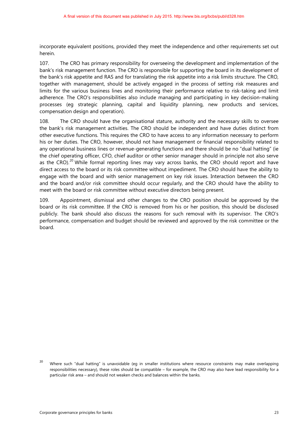incorporate equivalent positions, provided they meet the independence and other requirements set out herein.

107. The CRO has primary responsibility for overseeing the development and implementation of the bank's risk management function. The CRO is responsible for supporting the board in its development of the bank's risk appetite and RAS and for translating the risk appetite into a risk limits structure. The CRO, together with management, should be actively engaged in the process of setting risk measures and limits for the various business lines and monitoring their performance relative to risk-taking and limit adherence. The CRO's responsibilities also include managing and participating in key decision-making processes (eg strategic planning, capital and liquidity planning, new products and services, compensation design and operation).

108. The CRO should have the organisational stature, authority and the necessary skills to oversee the bank's risk management activities. The CRO should be independent and have duties distinct from other executive functions. This requires the CRO to have access to any information necessary to perform his or her duties. The CRO, however, should not have management or financial responsibility related to any operational business lines or revenue-generating functions and there should be no "dual hatting" (ie the chief operating officer, CFO, chief auditor or other senior manager should in principle not also serve as the CRO).<sup>[20](#page-25-0)</sup> While formal reporting lines may vary across banks, the CRO should report and have direct access to the board or its risk committee without impediment. The CRO should have the ability to engage with the board and with senior management on key risk issues. Interaction between the CRO and the board and/or risk committee should occur regularly, and the CRO should have the ability to meet with the board or risk committee without executive directors being present.

109. Appointment, dismissal and other changes to the CRO position should be approved by the board or its risk committee. If the CRO is removed from his or her position, this should be disclosed publicly. The bank should also discuss the reasons for such removal with its supervisor. The CRO's performance, compensation and budget should be reviewed and approved by the risk committee or the board.

<span id="page-25-0"></span><sup>&</sup>lt;sup>20</sup> Where such "dual hatting" is unavoidable (eg in smaller institutions where resource constraints may make overlapping responsibilities necessary), these roles should be compatible – for example, the CRO may also have lead responsibility for a particular risk area – and should not weaken checks and balances within the banks.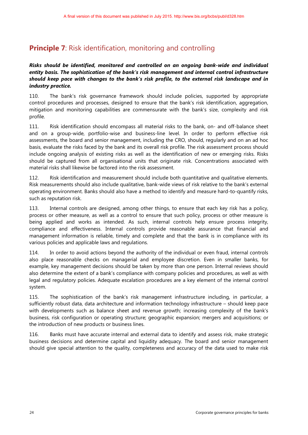### <span id="page-26-0"></span>**Principle 7:** Risk identification, monitoring and controlling

### *Risks should be identified, monitored and controlled on an ongoing bank-wide and individual entity basis. The sophistication of the bank's risk management and internal control infrastructure should keep pace with changes to the bank's risk profile, to the external risk landscape and in industry practice.*

110. The bank's risk governance framework should include policies, supported by appropriate control procedures and processes, designed to ensure that the bank's risk identification, aggregation, mitigation and monitoring capabilities are commensurate with the bank's size, complexity and risk profile.

111. Risk identification should encompass all material risks to the bank, on- and off-balance sheet and on a group-wide, portfolio-wise and business-line level. In order to perform effective risk assessments, the board and senior management, including the CRO, should, regularly and on an ad hoc basis, evaluate the risks faced by the bank and its overall risk profile. The risk assessment process should include ongoing analysis of existing risks as well as the identification of new or emerging risks. Risks should be captured from all organisational units that originate risk. Concentrations associated with material risks shall likewise be factored into the risk assessment.

112. Risk identification and measurement should include both quantitative and qualitative elements. Risk measurements should also include qualitative, bank-wide views of risk relative to the bank's external operating environment. Banks should also have a method to identify and measure hard-to-quantify risks, such as reputation risk.

113. Internal controls are designed, among other things, to ensure that each key risk has a policy, process or other measure, as well as a control to ensure that such policy, process or other measure is being applied and works as intended. As such, internal controls help ensure process integrity, compliance and effectiveness. Internal controls provide reasonable assurance that financial and management information is reliable, timely and complete and that the bank is in compliance with its various policies and applicable laws and regulations.

114. In order to avoid actions beyond the authority of the individual or even fraud, internal controls also place reasonable checks on managerial and employee discretion. Even in smaller banks, for example, key management decisions should be taken by more than one person. Internal reviews should also determine the extent of a bank's compliance with company policies and procedures, as well as with legal and regulatory policies. Adequate escalation procedures are a key element of the internal control system.

115. The sophistication of the bank's risk management infrastructure including, in particular, a sufficiently robust data, data architecture and information technology infrastructure – should keep pace with developments such as balance sheet and revenue growth; increasing complexity of the bank's business, risk configuration or operating structure; geographic expansion; mergers and acquisitions; or the introduction of new products or business lines.

116. Banks must have accurate internal and external data to identify and assess risk, make strategic business decisions and determine capital and liquidity adequacy. The board and senior management should give special attention to the quality, completeness and accuracy of the data used to make risk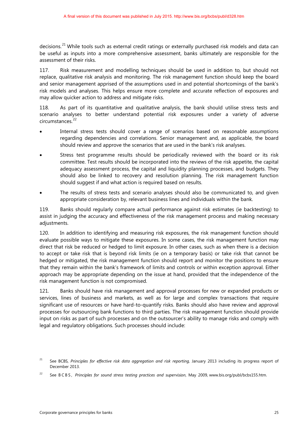decisions.<sup>[21](#page-27-0)</sup> While tools such as external credit ratings or externally purchased risk models and data can be useful as inputs into a more comprehensive assessment, banks ultimately are responsible for the assessment of their risks.

117. Risk measurement and modelling techniques should be used in addition to, but should not replace, qualitative risk analysis and monitoring. The risk management function should keep the board and senior management apprised of the assumptions used in and potential shortcomings of the bank's risk models and analyses. This helps ensure more complete and accurate reflection of exposures and may allow quicker action to address and mitigate risks.

118. As part of its quantitative and qualitative analysis, the bank should utilise stress tests and scenario analyses to better understand potential risk exposures under a variety of adverse circumstances.<sup>[22](#page-27-1)</sup>

- Internal stress tests should cover a range of scenarios based on reasonable assumptions regarding dependencies and correlations. Senior management and, as applicable, the board should review and approve the scenarios that are used in the bank's risk analyses.
- Stress test programme results should be periodically reviewed with the board or its risk committee. Test results should be incorporated into the reviews of the risk appetite, the capital adequacy assessment process, the capital and liquidity planning processes, and budgets. They should also be linked to recovery and resolution planning. The risk management function should suggest if and what action is required based on results.
- The results of stress tests and scenario analyses should also be communicated to, and given appropriate consideration by, relevant business lines and individuals within the bank.

119. Banks should regularly compare actual performance against risk estimates (ie backtesting) to assist in judging the accuracy and effectiveness of the risk management process and making necessary adjustments.

120. In addition to identifying and measuring risk exposures, the risk management function should evaluate possible ways to mitigate these exposures. In some cases, the risk management function may direct that risk be reduced or hedged to limit exposure. In other cases, such as when there is a decision to accept or take risk that is beyond risk limits (ie on a temporary basis) or take risk that cannot be hedged or mitigated, the risk management function should report and monitor the positions to ensure that they remain within the bank's framework of limits and controls or within exception approval. Either approach may be appropriate depending on the issue at hand, provided that the independence of the risk management function is not compromised.

121. Banks should have risk management and approval processes for new or expanded products or services, lines of business and markets, as well as for large and complex transactions that require significant use of resources or have hard-to-quantify risks. Banks should also have review and approval processes for outsourcing bank functions to third parties. The risk management function should provide input on risks as part of such processes and on the outsourcer's ability to manage risks and comply with legal and regulatory obligations. Such processes should include:

<span id="page-27-0"></span><sup>&</sup>lt;sup>21</sup> See BCBS, *Principles for effective risk data aggregation and risk reporting, January 2013 including its progress report of* December 2013.

<span id="page-27-1"></span><sup>22</sup> See BCBS, *Principles for sound stress testing practices and supervision*, May 2009[, www.bis.org/publ/bcbs155.htm.](http://www.bis.org/publ/bcbs155.htm.)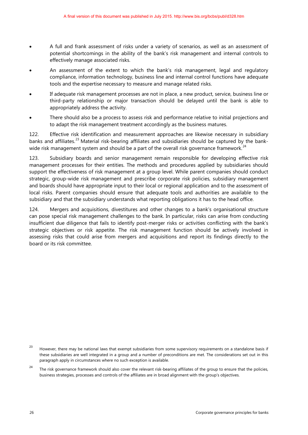- A full and frank assessment of risks under a variety of scenarios, as well as an assessment of potential shortcomings in the ability of the bank's risk management and internal controls to effectively manage associated risks.
- An assessment of the extent to which the bank's risk management, legal and regulatory compliance, information technology, business line and internal control functions have adequate tools and the expertise necessary to measure and manage related risks.
- If adequate risk management processes are not in place, a new product, service, business line or third-party relationship or major transaction should be delayed until the bank is able to appropriately address the activity.
- There should also be a process to assess risk and performance relative to initial projections and to adapt the risk management treatment accordingly as the business matures.

122. Effective risk identification and measurement approaches are likewise necessary in subsidiary banks and affiliates.<sup>[23](#page-28-0)</sup> Material risk-bearing affiliates and subsidiaries should be captured by the bank-wide risk management system and should be a part of the overall risk governance framework.<sup>[24](#page-28-1)</sup>

123. Subsidiary boards and senior management remain responsible for developing effective risk management processes for their entities. The methods and procedures applied by subsidiaries should support the effectiveness of risk management at a group level. While parent companies should conduct strategic, group-wide risk management and prescribe corporate risk policies, subsidiary management and boards should have appropriate input to their local or regional application and to the assessment of local risks. Parent companies should ensure that adequate tools and authorities are available to the subsidiary and that the subsidiary understands what reporting obligations it has to the head office.

124. Mergers and acquisitions, divestitures and other changes to a bank's organisational structure can pose special risk management challenges to the bank. In particular, risks can arise from conducting insufficient due diligence that fails to identify post-merger risks or activities conflicting with the bank's strategic objectives or risk appetite. The risk management function should be actively involved in assessing risks that could arise from mergers and acquisitions and report its findings directly to the board or its risk committee.

<span id="page-28-0"></span><sup>&</sup>lt;sup>23</sup> However, there may be national laws that exempt subsidiaries from some supervisory requirements on a standalone basis if these subsidiaries are well integrated in a group and a number of preconditions are met. The considerations set out in this paragraph apply in circumstances where no such exception is available.

<span id="page-28-1"></span><sup>&</sup>lt;sup>24</sup> The risk governance framework should also cover the relevant risk-bearing affiliates of the group to ensure that the policies, business strategies, processes and controls of the affiliates are in broad alignment with the group's objectives.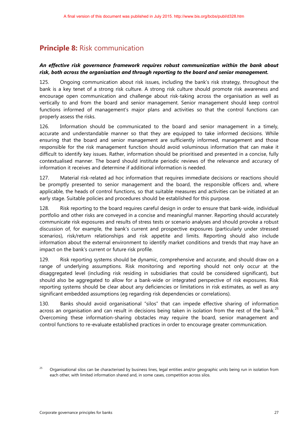### <span id="page-29-0"></span>**Principle 8:** Risk communication

#### *An effective risk governance framework requires robust communication within the bank about risk, both across the organisation and through reporting to the board and senior management.*

125. Ongoing communication about risk issues, including the bank's risk strategy, throughout the bank is a key tenet of a strong risk culture. A strong risk culture should promote risk awareness and encourage open communication and challenge about risk-taking across the organisation as well as vertically to and from the board and senior management. Senior management should keep control functions informed of management's major plans and activities so that the control functions can properly assess the risks.

126. Information should be communicated to the board and senior management in a timely, accurate and understandable manner so that they are equipped to take informed decisions. While ensuring that the board and senior management are sufficiently informed, management and those responsible for the risk management function should avoid voluminous information that can make it difficult to identify key issues. Rather, information should be prioritised and presented in a concise, fully contextualised manner. The board should institute periodic reviews of the relevance and accuracy of information it receives and determine if additional information is needed.

127. Material risk-related ad hoc information that requires immediate decisions or reactions should be promptly presented to senior management and the board, the responsible officers and, where applicable, the heads of control functions, so that suitable measures and activities can be initiated at an early stage. Suitable policies and procedures should be established for this purpose.

128. Risk reporting to the board requires careful design in order to ensure that bank-wide, individual portfolio and other risks are conveyed in a concise and meaningful manner. Reporting should accurately communicate risk exposures and results of stress tests or scenario analyses and should provoke a robust discussion of, for example, the bank's current and prospective exposures (particularly under stressed scenarios), risk/return relationships and risk appetite and limits. Reporting should also include information about the external environment to identify market conditions and trends that may have an impact on the bank's current or future risk profile.

129. Risk reporting systems should be dynamic, comprehensive and accurate, and should draw on a range of underlying assumptions. Risk monitoring and reporting should not only occur at the disaggregated level (including risk residing in subsidiaries that could be considered significant), but should also be aggregated to allow for a bank-wide or integrated perspective of risk exposures. Risk reporting systems should be clear about any deficiencies or limitations in risk estimates, as well as any significant embedded assumptions (eg regarding risk dependencies or correlations).

130. Banks should avoid organisational "silos" that can impede effective sharing of information across an organisation and can result in decisions being taken in isolation from the rest of the bank.<sup>[25](#page-29-1)</sup> Overcoming these information-sharing obstacles may require the board, senior management and control functions to re-evaluate established practices in order to encourage greater communication.

<span id="page-29-1"></span><sup>25</sup> Organisational silos can be characterised by business lines, legal entities and/or geographic units being run in isolation from each other, with limited information shared and, in some cases, competition across silos.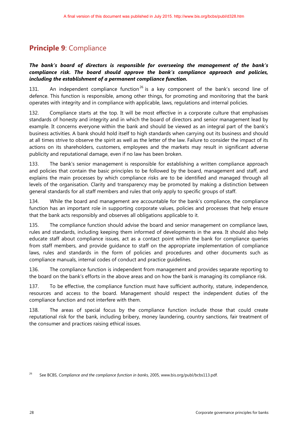### <span id="page-30-0"></span>**Principle 9**: Compliance

#### *The bank's board of directors is responsible for overseeing the management of the bank's compliance risk. The board should approve the bank's compliance approach and policies, including the establishment of a permanent compliance function.*

131. An independent compliance function<sup>[26](#page-30-1)</sup> is a key component of the bank's second line of defence. This function is responsible, among other things, for promoting and monitoring that the bank operates with integrity and in compliance with applicable, laws, regulations and internal policies.

132. Compliance starts at the top. It will be most effective in a corporate culture that emphasises standards of honesty and integrity and in which the board of directors and senior management lead by example. It concerns everyone within the bank and should be viewed as an integral part of the bank's business activities. A bank should hold itself to high standards when carrying out its business and should at all times strive to observe the spirit as well as the letter of the law. Failure to consider the impact of its actions on its shareholders, customers, employees and the markets may result in significant adverse publicity and reputational damage, even if no law has been broken.

133. The bank's senior management is responsible for establishing a written compliance approach and policies that contain the basic principles to be followed by the board, management and staff, and explains the main processes by which compliance risks are to be identified and managed through all levels of the organisation. Clarity and transparency may be promoted by making a distinction between general standards for all staff members and rules that only apply to specific groups of staff.

134. While the board and management are accountable for the bank's compliance, the compliance function has an important role in supporting corporate values, policies and processes that help ensure that the bank acts responsibly and observes all obligations applicable to it.

135. The compliance function should advise the board and senior management on compliance laws, rules and standards, including keeping them informed of developments in the area. It should also help educate staff about compliance issues, act as a contact point within the bank for compliance queries from staff members, and provide guidance to staff on the appropriate implementation of compliance laws, rules and standards in the form of policies and procedures and other documents such as compliance manuals, internal codes of conduct and practice guidelines.

136. The compliance function is independent from management and provides separate reporting to the board on the bank's efforts in the above areas and on how the bank is managing its compliance risk.

137. To be effective, the compliance function must have sufficient authority, stature, independence, resources and access to the board. Management should respect the independent duties of the compliance function and not interfere with them.

138. The areas of special focus by the compliance function include those that could create reputational risk for the bank, including bribery, money laundering, country sanctions, fair treatment of the consumer and practices raising ethical issues.

<span id="page-30-1"></span><sup>26</sup> See BCBS, *Compliance and the compliance function in banks*, 2005, www.bis.org/publ/bcbs113.pdf.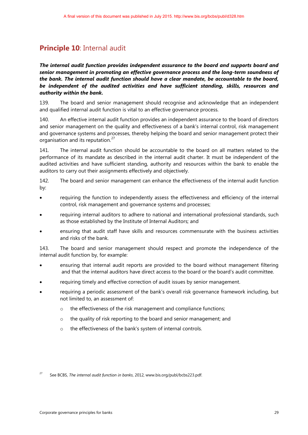### <span id="page-31-0"></span>**Principle 10**: Internal audit

*The internal audit function provides independent assurance to the board and supports board and senior management in promoting an effective governance process and the long-term soundness of the bank. The internal audit function should have a clear mandate, be accountable to the board, be independent of the audited activities and have sufficient standing, skills, resources and authority within the bank.*

139. The board and senior management should recognise and acknowledge that an independent and qualified internal audit function is vital to an effective governance process.

140. An effective internal audit function provides an independent assurance to the board of directors and senior management on the quality and effectiveness of a bank's internal control, risk management and governance systems and processes, thereby helping the board and senior management protect their organisation and its reputation.<sup>[27](#page-31-1)</sup>

141. The internal audit function should be accountable to the board on all matters related to the performance of its mandate as described in the internal audit charter. It must be independent of the audited activities and have sufficient standing, authority and resources within the bank to enable the auditors to carry out their assignments effectively and objectively.

142. The board and senior management can enhance the effectiveness of the internal audit function by:

- requiring the function to independently assess the effectiveness and efficiency of the internal control, risk management and governance systems and processes;
- requiring internal auditors to adhere to national and international professional standards, such as those established by the Institute of Internal Auditors; and
- ensuring that audit staff have skills and resources commensurate with the business activities and risks of the bank.

143. The board and senior management should respect and promote the independence of the internal audit function by, for example:

- ensuring that internal audit reports are provided to the board without management filtering and that the internal auditors have direct access to the board or the board's audit committee.
- requiring timely and effective correction of audit issues by senior management.
- requiring a periodic assessment of the bank's overall risk governance framework including, but not limited to, an assessment of:
	- o the effectiveness of the risk management and compliance functions;
	- o the quality of risk reporting to the board and senior management; and
	- o the effectiveness of the bank's system of internal controls.

<span id="page-31-1"></span><sup>27</sup> See BCBS, *The internal audit function in banks*, 2012, [www.bis.org/publ/bcbs223.pdf.](http://www.bis.org/publ/bcbs223.pdf)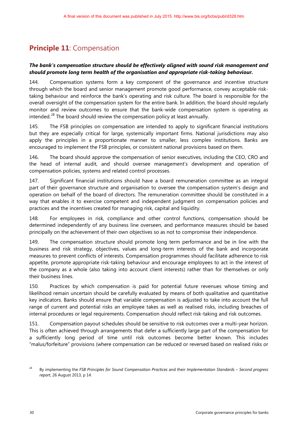## <span id="page-32-0"></span>**Principle 11: Compensation**

#### *The bank's compensation structure should be effectively aligned with sound risk management and should promote long term health of the organisation and appropriate risk-taking behaviour.*

144. Compensation systems form a key component of the governance and incentive structure through which the board and senior management promote good performance, convey acceptable risktaking behaviour and reinforce the bank's operating and risk culture. The board is responsible for the overall oversight of the compensation system for the entire bank. In addition, the board should regularly monitor and review outcomes to ensure that the bank-wide compensation system is operating as intended.<sup>[28](#page-32-1)</sup> The board should review the compensation policy at least annually.

145. The FSB principles on compensation are intended to apply to significant financial institutions but they are especially critical for large, systemically important firms. National jurisdictions may also apply the principles in a proportionate manner to smaller, less complex institutions. Banks are encouraged to implement the FSB principles, or consistent national provisions based on them.

146. The board should approve the compensation of senior executives, including the CEO, CRO and the head of internal audit, and should oversee management's development and operation of compensation policies, systems and related control processes.

147. Significant financial institutions should have a board remuneration committee as an integral part of their governance structure and organisation to oversee the compensation system's design and operation on behalf of the board of directors. The remuneration committee should be constituted in a way that enables it to exercise competent and independent judgment on compensation policies and practices and the incentives created for managing risk, capital and liquidity.

148. For employees in risk, compliance and other control functions, compensation should be determined independently of any business line overseen, and performance measures should be based principally on the achievement of their own objectives so as not to compromise their independence.

149. The compensation structure should promote long term performance and be in line with the business and risk strategy, objectives, values and long-term interests of the bank and incorporate measures to prevent conflicts of interests. Compensation programmes should facilitate adherence to risk appetite, promote appropriate risk-taking behaviour and encourage employees to act in the interest of the company as a whole (also taking into account client interests) rather than for themselves or only their business lines.

150. Practices by which compensation is paid for potential future revenues whose timing and likelihood remain uncertain should be carefully evaluated by means of both qualitative and quantitative key indicators. Banks should ensure that variable compensation is adjusted to take into account the full range of current and potential risks an employee takes as well as realised risks, including breaches of internal procedures or legal requirements. Compensation should reflect risk-taking and risk outcomes.

151. Compensation payout schedules should be sensitive to risk outcomes over a multi-year horizon. This is often achieved through arrangements that defer a sufficiently large part of the compensation for a sufficiently long period of time until risk outcomes become better known. This includes "malus/forfeiture" provisions (where compensation can be reduced or reversed based on realised risks or

<span id="page-32-1"></span><sup>28</sup> By implementing the *FSB Principles for Sound Compensation Practices* and their *Implementation Standards* – *Second progress report*, 26 August 2013, p 14.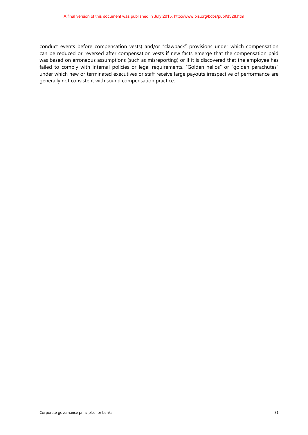conduct events before compensation vests) and/or "clawback" provisions under which compensation can be reduced or reversed after compensation vests if new facts emerge that the compensation paid was based on erroneous assumptions (such as misreporting) or if it is discovered that the employee has failed to comply with internal policies or legal requirements. "Golden hellos" or "golden parachutes" under which new or terminated executives or staff receive large payouts irrespective of performance are generally not consistent with sound compensation practice.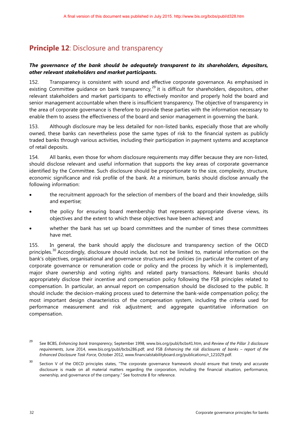### <span id="page-34-0"></span>**Principle 12: Disclosure and transparency**

#### *The governance of the bank should be adequately transparent to its shareholders, depositors, other relevant stakeholders and market participants.*

152. Transparency is consistent with sound and effective corporate governance. As emphasised in existing Committee guidance on bank transparency,<sup>[29](#page-34-1)</sup> it is difficult for shareholders, depositors, other relevant stakeholders and market participants to effectively monitor and properly hold the board and senior management accountable when there is insufficient transparency. The objective of transparency in the area of corporate governance is therefore to provide these parties with the information necessary to enable them to assess the effectiveness of the board and senior management in governing the bank.

153. Although disclosure may be less detailed for non-listed banks, especially those that are wholly owned, these banks can nevertheless pose the same types of risk to the financial system as publicly traded banks through various activities, including their participation in payment systems and acceptance of retail deposits.

154. All banks, even those for whom disclosure requirements may differ because they are non-listed, should disclose relevant and useful information that supports the key areas of corporate governance identified by the Committee. Such disclosure should be proportionate to the size, complexity, structure, economic significance and risk profile of the bank. At a minimum, banks should disclose annually the following information:

- the recruitment approach for the selection of members of the board and their knowledge, skills and expertise;
- the policy for ensuring board membership that represents appropriate diverse views, its objectives and the extent to which these objectives have been achieved; and
- whether the bank has set up board committees and the number of times these committees have met.

155. In general, the bank should apply the disclosure and transparency section of the OECD principles.<sup>[30](#page-34-2)</sup> Accordingly, disclosure should include, but not be limited to, material information on the bank's objectives, organisational and governance structures and policies (in particular the content of any corporate governance or remuneration code or policy and the process by which it is implemented), major share ownership and voting rights and related party transactions. Relevant banks should appropriately disclose their incentive and compensation policy following the FSB principles related to compensation. In particular, an annual report on compensation should be disclosed to the public. It should include: the decision-making process used to determine the bank-wide compensation policy; the most important design characteristics of the compensation system, including the criteria used for performance measurement and risk adjustment; and aggregate quantitative information on compensation.

<span id="page-34-1"></span><sup>29</sup> See BCBS, *Enhancing bank transparency*, September 1998, [www.bis.org/publ/bcbs41.htm, and](http://www.bis.org/publ/bcbs41.htm,%20and) *Review of the Pillar 3 disclosure requirements*, June 2014, [www.bis.org/publ/bcbs286.pdf;](http://www.bis.org/publ/bcbs286.pdf) and FSB *Enhancing the risk disclosures of banks – report of the Enhanced Disclosure Task Force*, October 2012, www.financialstabilityboard.org/publications/r\_121029.pdf.

<span id="page-34-2"></span><sup>&</sup>lt;sup>30</sup> Section V of the OECD principles states, "The corporate governance framework should ensure that timely and accurate disclosure is made on all material matters regarding the corporation, including the financial situation, performance, ownership, and governance of the company." See footnote 8 for reference.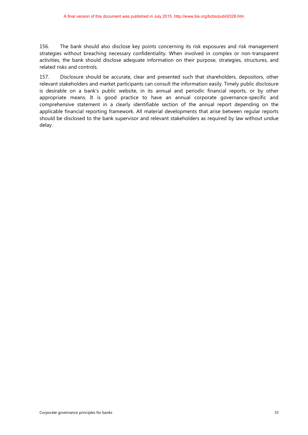156. The bank should also disclose key points concerning its risk exposures and risk management strategies without breaching necessary confidentiality. When involved in complex or non-transparent activities, the bank should disclose adequate information on their purpose, strategies, structures, and related risks and controls.

157. Disclosure should be accurate, clear and presented such that shareholders, depositors, other relevant stakeholders and market participants can consult the information easily. Timely public disclosure is desirable on a bank's public website, in its annual and periodic financial reports, or by other appropriate means. It is good practice to have an annual corporate governance-specific and comprehensive statement in a clearly identifiable section of the annual report depending on the applicable financial reporting framework. All material developments that arise between regular reports should be disclosed to the bank supervisor and relevant stakeholders as required by law without undue delay.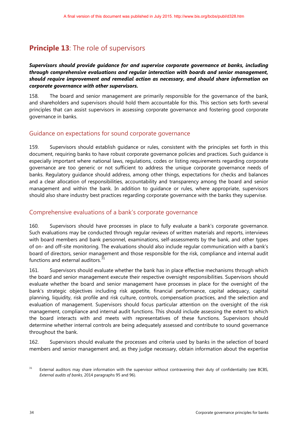### <span id="page-36-0"></span>**Principle 13:** The role of supervisors

#### *Supervisors should provide guidance for and supervise corporate governance at banks, including through comprehensive evaluations and regular interaction with boards and senior management, should require improvement and remedial action as necessary, and should share information on corporate governance with other supervisors.*

158. The board and senior management are primarily responsible for the governance of the bank, and shareholders and supervisors should hold them accountable for this. This section sets forth several principles that can assist supervisors in assessing corporate governance and fostering good corporate governance in banks.

### Guidance on expectations for sound corporate governance

159. Supervisors should establish guidance or rules, consistent with the principles set forth in this document, requiring banks to have robust corporate governance policies and practices. Such guidance is especially important where national laws, regulations, codes or listing requirements regarding corporate governance are too generic or not sufficient to address the unique corporate governance needs of banks. Regulatory guidance should address, among other things, expectations for checks and balances and a clear allocation of responsibilities, accountability and transparency among the board and senior management and within the bank. In addition to guidance or rules, where appropriate, supervisors should also share industry best practices regarding corporate governance with the banks they supervise.

### Comprehensive evaluations of a bank's corporate governance

160. Supervisors should have processes in place to fully evaluate a bank's corporate governance. Such evaluations may be conducted through regular reviews of written materials and reports, interviews with board members and bank personnel, examinations, self-assessments by the bank, and other types of on- and off-site monitoring. The evaluations should also include regular communication with a bank's board of directors, senior management and those responsible for the risk, compliance and internal audit functions and external auditors.<sup>[31](#page-36-1)</sup>

161. Supervisors should evaluate whether the bank has in place effective mechanisms through which the board and senior management execute their respective oversight responsibilities. Supervisors should evaluate whether the board and senior management have processes in place for the oversight of the bank's strategic objectives including risk appetite, financial performance, capital adequacy, capital planning, liquidity, risk profile and risk culture, controls, compensation practices, and the selection and evaluation of management. Supervisors should focus particular attention on the oversight of the risk management, compliance and internal audit functions. This should include assessing the extent to which the board interacts with and meets with representatives of these functions. Supervisors should determine whether internal controls are being adequately assessed and contribute to sound governance throughout the bank.

162. Supervisors should evaluate the processes and criteria used by banks in the selection of board members and senior management and, as they judge necessary, obtain information about the expertise

<span id="page-36-1"></span><sup>&</sup>lt;sup>31</sup> External auditors may share information with the supervisor without contravening their duty of confidentiality (see BCBS, *External audits of banks*, 2014 paragraphs 95 and 96).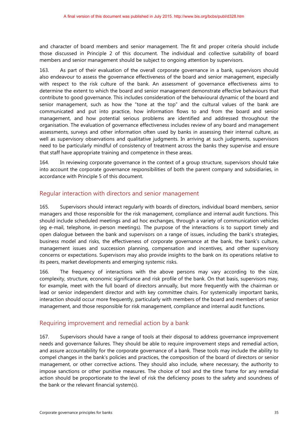and character of board members and senior management. The fit and proper criteria should include those discussed in Principle 2 of this document. The individual and collective suitability of board members and senior management should be subject to ongoing attention by supervisors.

163. As part of their evaluation of the overall corporate governance in a bank, supervisors should also endeavour to assess the governance effectiveness of the board and senior management, especially with respect to the risk culture of the bank. An assessment of governance effectiveness aims to determine the extent to which the board and senior management demonstrate effective behaviours that contribute to good governance. This includes consideration of the behavioural dynamic of the board and senior management, such as how the "tone at the top" and the cultural values of the bank are communicated and put into practice, how information flows to and from the board and senior management, and how potential serious problems are identified and addressed throughout the organisation. The evaluation of governance effectiveness includes review of any board and management assessments, surveys and other information often used by banks in assessing their internal culture, as well as supervisory observations and qualitative judgments. In arriving at such judgments, supervisors need to be particularly mindful of consistency of treatment across the banks they supervise and ensure that staff have appropriate training and competence in these areas.

164. In reviewing corporate governance in the context of a group structure, supervisors should take into account the corporate governance responsibilities of both the parent company and subsidiaries, in accordance with Principle 5 of this document.

### Regular interaction with directors and senior management

165. Supervisors should interact regularly with boards of directors, individual board members, senior managers and those responsible for the risk management, compliance and internal audit functions. This should include scheduled meetings and ad hoc exchanges, through a variety of communication vehicles (eg e-mail, telephone, in-person meetings). The purpose of the interactions is to support timely and open dialogue between the bank and supervisors on a range of issues, including the bank's strategies, business model and risks, the effectiveness of corporate governance at the bank, the bank's culture, management issues and succession planning, compensation and incentives, and other supervisory concerns or expectations. Supervisors may also provide insights to the bank on its operations relative to its peers, market developments and emerging systemic risks.

166. The frequency of interactions with the above persons may vary according to the size, complexity, structure, economic significance and risk profile of the bank. On that basis, supervisors may, for example, meet with the full board of directors annually, but more frequently with the chairman or lead or senior independent director and with key committee chairs. For systemically important banks, interaction should occur more frequently, particularly with members of the board and members of senior management, and those responsible for risk management, compliance and internal audit functions.

### Requiring improvement and remedial action by a bank

167. Supervisors should have a range of tools at their disposal to address governance improvement needs and governance failures. They should be able to require improvement steps and remedial action, and assure accountability for the corporate governance of a bank. These tools may include the ability to compel changes in the bank's policies and practices, the composition of the board of directors or senior management, or other corrective actions. They should also include, where necessary, the authority to impose sanctions or other punitive measures. The choice of tool and the time frame for any remedial action should be proportionate to the level of risk the deficiency poses to the safety and soundness of the bank or the relevant financial system(s).